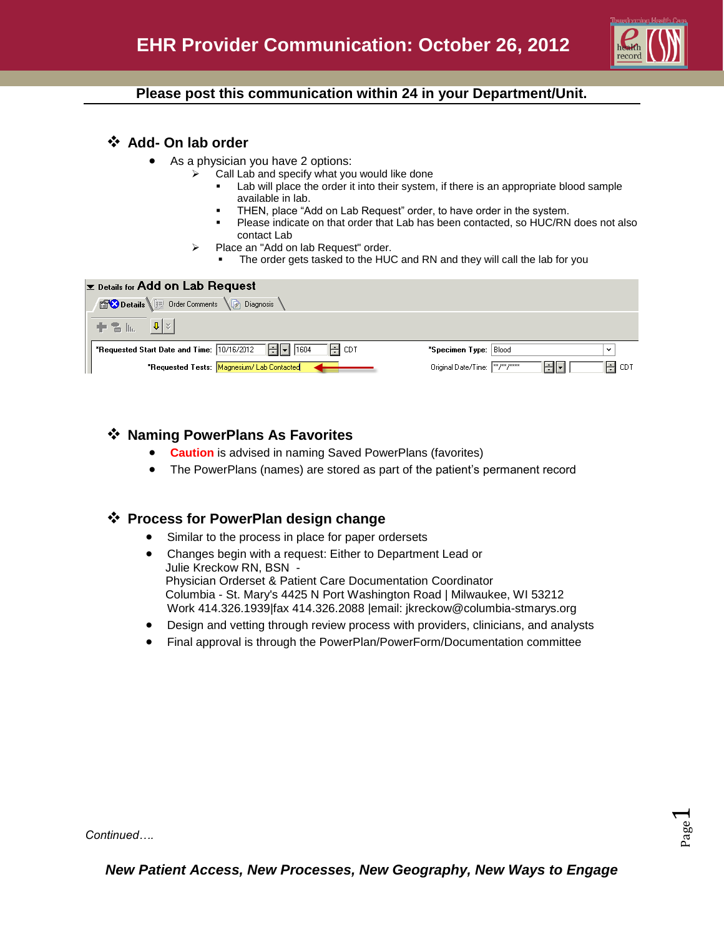

# **Please post this communication within 24 in your Department/Unit.**

### **Add- On lab order**

- As a physician you have 2 options:
	- Call Lab and specify what you would like done
		- Lab will place the order it into their system, if there is an appropriate blood sample available in lab.
		- THEN, place "Add on Lab Request" order, to have order in the system.
		- Please indicate on that order that Lab has been contacted, so HUC/RN does not also contact Lab
	- Place an "Add on lab Request" order.
		- The order gets tasked to the HUC and RN and they will call the lab for you

#### **Ex Details for Add on Lab Request**

| <b>BOD etails</b> I Order Comments (a) Diagnosis                                                                    |                                                     |
|---------------------------------------------------------------------------------------------------------------------|-----------------------------------------------------|
| . ᆃ �� [li,    U  ⊻                                                                                                 |                                                     |
| <b>*Requested Start Date and Time:</b> $\boxed{10/16/2012}$ $\boxed{+}$ $\boxed{\bullet}$ $\boxed{1604}$<br>] H CDT | "Specimen Type: Blood<br>$\checkmark$               |
| *Requested Tests: Magnesium/Lab Contacted                                                                           | Original Date/Time:   xx7xx/xxxx<br>H CDT<br>احالجا |

# **Naming PowerPlans As Favorites**

- **Caution** is advised in naming Saved PowerPlans (favorites)
- The PowerPlans (names) are stored as part of the patient's permanent record

# **Process for PowerPlan design change**

- Similar to the process in place for paper ordersets
- Changes begin with a request: Either to Department Lead or Julie Kreckow RN, BSN - Physician Orderset & Patient Care Documentation Coordinator Columbia - St. Mary's 4425 N Port Washington Road | Milwaukee, WI 53212 Work 414.326.1939|fax 414.326.2088 |email: jkreckow@columbia-stmarys.org
- Design and vetting through review process with providers, clinicians, and analysts
- Final approval is through the PowerPlan/PowerForm/Documentation committee

Page  $\overline{\phantom{0}}$ 

*Continued….*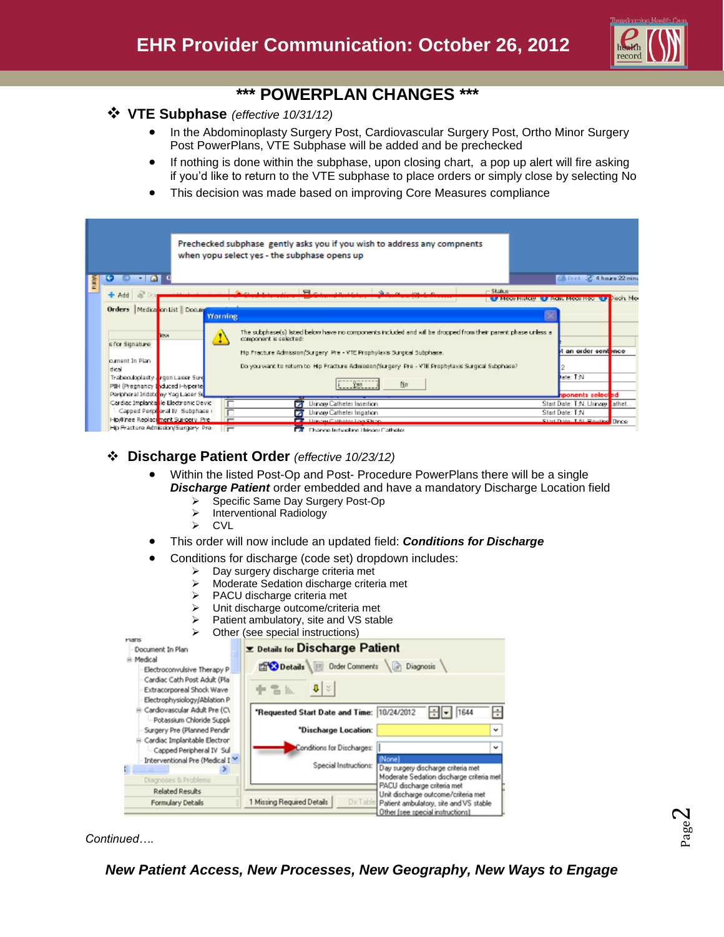

# **\*\*\* POWERPLAN CHANGES \*\*\***

### **VTE Subphase** *(effective 10/31/12)*

- In the Abdominoplasty Surgery Post, Cardiovascular Surgery Post, Ortho Minor Surgery Post PowerPlans, VTE Subphase will be added and be prechecked
- If nothing is done within the subphase, upon closing chart, a pop up alert will fire asking if you'd like to return to the VTE subphase to place orders or simply close by selecting No
- This decision was made based on improving Core Measures compliance

|                                                                                                                        |                                           | Prechecked subphase gently asks you if you wish to address any compnents<br>when yopu select yes - the subphase opens up                                                     |                                                                       |
|------------------------------------------------------------------------------------------------------------------------|-------------------------------------------|------------------------------------------------------------------------------------------------------------------------------------------------------------------------------|-----------------------------------------------------------------------|
| $\omega$                                                                                                               |                                           |                                                                                                                                                                              | <b>Children</b> 22 Hours 22 minu                                      |
| $+$ Add                                                                                                                |                                           | $\overline{\mathbf{w}}$ .                                                                                                                                                    | $-$ 5table<br><b>EX Meat History EX Parts Meat Heal TEX Direk Me-</b> |
| Orders   Medica <mark>li</mark> on List    Docum <b>i</b>                                                              | Warning                                   |                                                                                                                                                                              |                                                                       |
| <b>TEUR</b><br>cifor Signabure                                                                                         | ÷                                         | The subphase(s) isted below have no components included and will be dropped from their parent phase unless a<br>component is selected:                                       |                                                                       |
| cument In Plan<br>dical                                                                                                |                                           | Hip Fracture Admission(Surgery, Pre - VTE Prophylaxis Surgical Subphase.<br>Do you want to return to Hip Fracture Admission Surgery Pre - YTE Prophylaxis Surgical Subphase? | an order sentence                                                     |
| Trabeculoplasty . rgon Laser Surg<br>PIH (Pregnancy Induced Hyperte<br>Peripheral Iridoto <mark>my Yaq Laser Su</mark> |                                           | $\frac{9}{2}$<br>No                                                                                                                                                          | late: T.N.<br>hponents select <mark>ed</mark>                         |
| Cardiac Implanta ile Electronic Devic<br>Capped Peripi <mark>t</mark> eral IV Subphase (                               |                                           | Urinary Catheter Insertion<br>Urinary Catheter Inigation<br>ы                                                                                                                | Start Date: T.N. Urinary Lathet<br>Start Date: T.N.                   |
| Hip/Knee Replace <mark>ment Surgery, Prell</mark><br>Hip Fracture Admission/Surgery, Pre-                              | $\overline{}$<br>$\overline{\phantom{a}}$ | <b>University Collection Local Street</b><br>- -<br>The suspect hand a collinear 1 laborated (The Headers)                                                                   | <b>Start Date: T.AL Routies, Dree</b>                                 |

# **Discharge Patient Order** *(effective 10/23/12)*

- Within the listed Post-Op and Post- Procedure PowerPlans there will be a single *Discharge Patient* order embedded and have a mandatory Discharge Location field
	- $\triangleright$  Specific Same Day Surgery Post-Op<br>  $\triangleright$  Interventional Radiology
	- Interventional Radiology
	- $\triangleright$  CVL
- This order will now include an updated field: *Conditions for Discharge*
- Conditions for discharge (code set) dropdown includes:
	- $\triangleright$  Day surgery discharge criteria met
	- Moderate Sedation discharge criteria met
	- $\triangleright$  PACU discharge criteria met
	- > Unit discharge outcome/criteria met
	- Patient ambulatory, site and VS stable
	- $\triangleright$  Other (see special instructions)

| <b>Mans</b>                                                                                |                                            |                                                                            |
|--------------------------------------------------------------------------------------------|--------------------------------------------|----------------------------------------------------------------------------|
| Document In Plan                                                                           | <b>Ex Details for Discharge Patient</b>    |                                                                            |
| 8-Medical<br>Electroconvulsive Therapy P                                                   | Details UE Order Comments                  | <b>Diagnosis</b>                                                           |
| Cardiac Cath Post Adult (Pla)<br>Extracorporeal Shock Wave<br>Electrophysiology/Ablation P | 0 <sup>2</sup><br>$+$ 3 $\mu$              |                                                                            |
| Cardiovascular Adult Pre (C\<br>Potassium Chloride Suppli-                                 | "Requested Start Date and Time: 10/24/2012 | H<br>1644<br>۱÷                                                            |
| Surgery Pre (Planned Pendir)                                                               | "Discharge Location:                       | v                                                                          |
| E-Cardiac Implantable Electron<br>Capped Peripheral IV Sul                                 | Conditions for Discharges:                 | v                                                                          |
| Interventional Pre (Medical IV                                                             | [None]<br>Special Instructions:            | Day surgery discharge criteria met                                         |
| Diagnoses & Problems                                                                       |                                            | Moderate Sedation discharge criteria met<br>PACU discharge criteria met    |
| <b>Related Results</b>                                                                     |                                            | Unit discharge outcome/criteria met                                        |
| Formulary Details                                                                          | 1 Missing Required Details<br>Dx Table     | Patient ambulatory, site and VS stable<br>Other (see special instructions) |

*Continued….*

*New Patient Access, New Processes, New Geography, New Ways to Engage*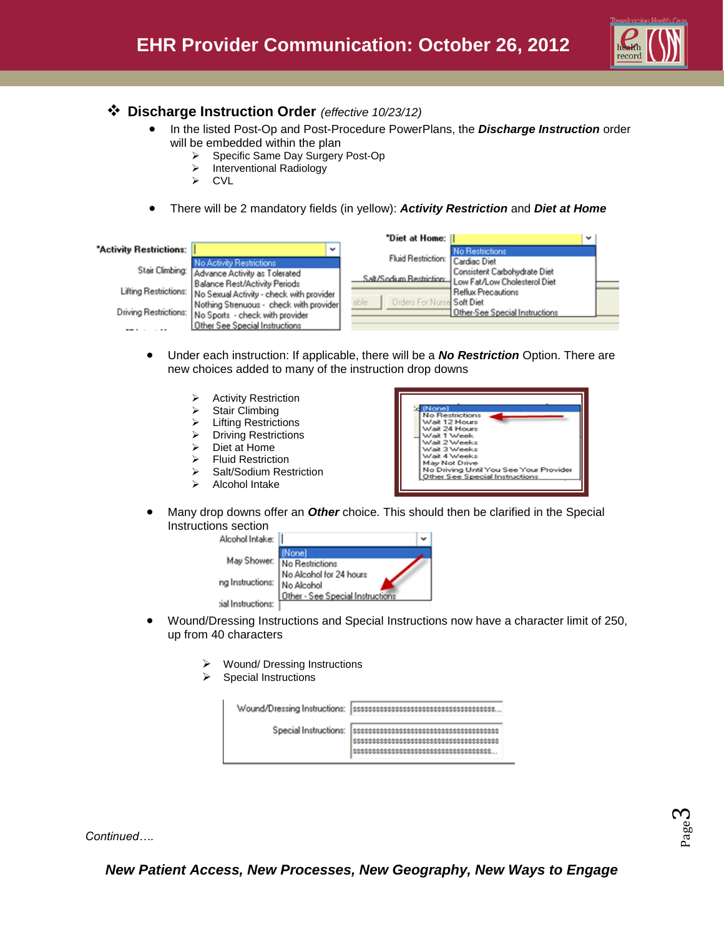

### **Discharge Instruction Order** *(effective 10/23/12)*

- **In the listed Post-Op and Post-Procedure PowerPlans, the Discharge Instruction order** will be embedded within the plan
	- ▶ Specific Same Day Surgery Post-Op
	- > Interventional Radiology
	- > CVL
- There will be 2 mandatory fields (in yellow): *Activity Restriction* and *Diet at Home*

|                         |                                                                                                 | "Diet at Home:                             |                                                                                        | v |
|-------------------------|-------------------------------------------------------------------------------------------------|--------------------------------------------|----------------------------------------------------------------------------------------|---|
| "Activity Restrictions: | $\checkmark$                                                                                    |                                            | <b>No Restrictions</b>                                                                 |   |
|                         | <b>No Activity Restrictions</b>                                                                 | Fluid Restriction: Cardiac Diet            |                                                                                        |   |
|                         | Stair Climbing: Advance Activity as Tolerated                                                   |                                            | Consistent Carbohydrate Diet<br>Salt/Sodium Restriction   Low Fat/Low Cholesterol Diet |   |
|                         | Balance Rest/Activity Periods<br>Lifting Restrictions: No Sexual Activity - check with provider |                                            | Reflux Precautions                                                                     |   |
|                         | Nothing Strenuous - check with provider                                                         | <b>Orders For Nursel Soft Diet</b><br>able |                                                                                        |   |
|                         | Driving Restrictions: No Sports - check with provider                                           |                                            | <b>1 Other-See Special Instructions</b>                                                |   |
|                         | Other See Special Instructions                                                                  |                                            |                                                                                        |   |

- Under each instruction: If applicable, there will be a *No Restriction* Option. There are new choices added to many of the instruction drop downs
	- Activity Restriction
	- $\triangleright$  Stair Climbing
	- Lifting Restrictions
	- > Driving Restrictions
	- Diet at Home
	- Fluid Restriction
	- ▶ Salt/Sodium Restriction
	- Alcohol Intake



 Many drop downs offer an *Other* choice. This should then be clarified in the Special Instructions section



- Wound/Dressing Instructions and Special Instructions now have a character limit of 250, up from 40 characters
	- Wound/ Dressing Instructions
	- Special Instructions

| Wound/Dressing Instructions: |  |
|------------------------------|--|
| Special Instructions:        |  |

*Continued….*

*New Patient Access, New Processes, New Geography, New Ways to Engage*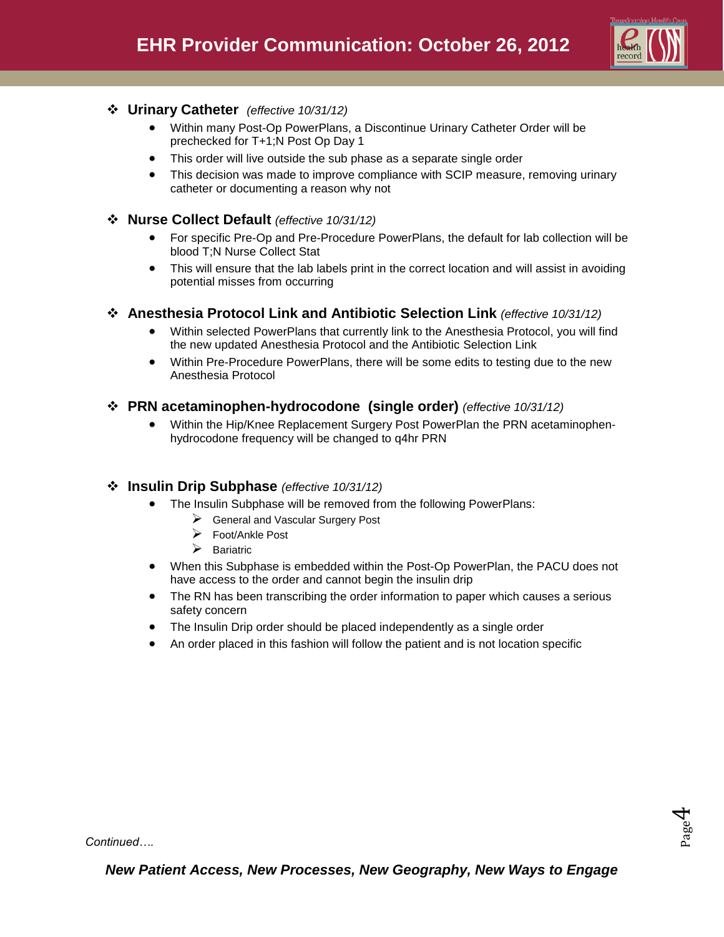

### **Urinary Catheter** *(effective 10/31/12)*

- Within many Post-Op PowerPlans, a Discontinue Urinary Catheter Order will be prechecked for T+1;N Post Op Day 1
- This order will live outside the sub phase as a separate single order
- This decision was made to improve compliance with SCIP measure, removing urinary catheter or documenting a reason why not

### **Nurse Collect Default** *(effective 10/31/12)*

- For specific Pre-Op and Pre-Procedure PowerPlans, the default for lab collection will be blood T;N Nurse Collect Stat
- This will ensure that the lab labels print in the correct location and will assist in avoiding potential misses from occurring

### **Anesthesia Protocol Link and Antibiotic Selection Link** *(effective 10/31/12)*

- Within selected PowerPlans that currently link to the Anesthesia Protocol, you will find the new updated Anesthesia Protocol and the Antibiotic Selection Link
- Within Pre-Procedure PowerPlans, there will be some edits to testing due to the new Anesthesia Protocol

### **PRN acetaminophen-hydrocodone (single order)** *(effective 10/31/12)*

 Within the Hip/Knee Replacement Surgery Post PowerPlan the PRN acetaminophenhydrocodone frequency will be changed to q4hr PRN

#### **Insulin Drip Subphase** *(effective 10/31/12)*

- The Insulin Subphase will be removed from the following PowerPlans:
	- General and Vascular Surgery Post
	- Foot/Ankle Post
	- $\triangleright$  Bariatric
- When this Subphase is embedded within the Post-Op PowerPlan, the PACU does not have access to the order and cannot begin the insulin drip
- The RN has been transcribing the order information to paper which causes a serious safety concern
- The Insulin Drip order should be placed independently as a single order
- An order placed in this fashion will follow the patient and is not location specific

Page  $\overline{\mathcal{A}}$ 

*Continued….*